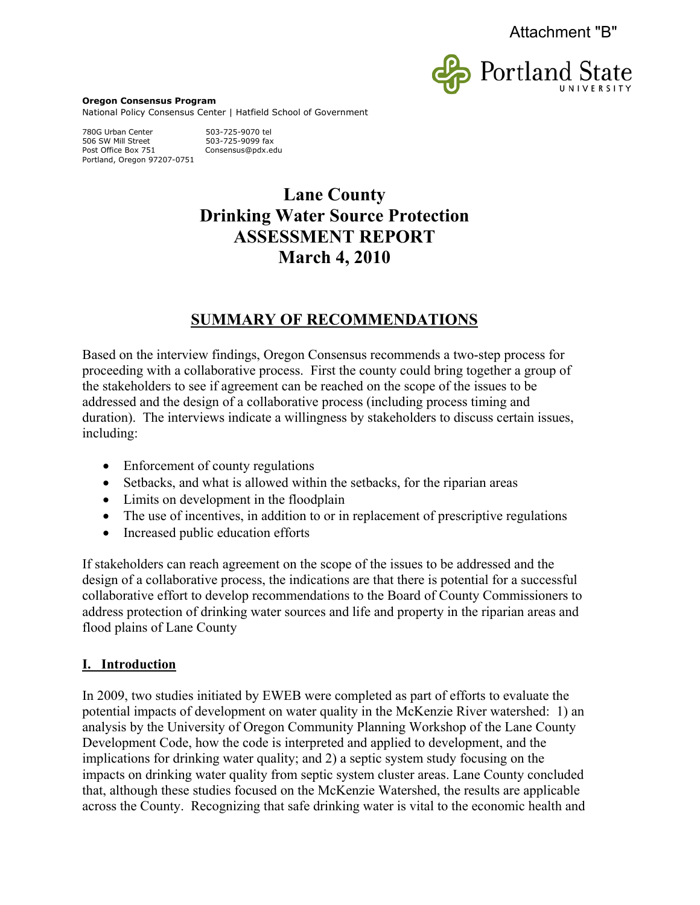

**Oregon Consensus Program**  National Policy Consensus Center | Hatfield School of Government

780G Urban Center 503-725-9070 tel 506 SW Mill Street 503-725-9099 fax<br>Post Office Box 751 Consensus@pdx.eo Portland, Oregon 97207-0751

Consensus@pdx.edu

# **Lane County Drinking Water Source Protection ASSESSMENT REPORT March 4, 2010**

# **SUMMARY OF RECOMMENDATIONS**

Based on the interview findings, Oregon Consensus recommends a two-step process for proceeding with a collaborative process. First the county could bring together a group of the stakeholders to see if agreement can be reached on the scope of the issues to be addressed and the design of a collaborative process (including process timing and duration). The interviews indicate a willingness by stakeholders to discuss certain issues, including:

- $\bullet$  Enforcement of county regulations
- Setbacks, and what is allowed within the setbacks, for the riparian areas
- Limits on development in the floodplain
- $\bullet$  The use of incentives, in addition to or in replacement of prescriptive regulations
- Increased public education efforts

If stakeholders can reach agreement on the scope of the issues to be addressed and the design of a collaborative process, the indications are that there is potential for a successful collaborative effort to develop recommendations to the Board of County Commissioners to address protection of drinking water sources and life and property in the riparian areas and flood plains of Lane County

# **I. Introduction**

In 2009, two studies initiated by EWEB were completed as part of efforts to evaluate the potential impacts of development on water quality in the McKenzie River watershed: 1) an analysis by the University of Oregon Community Planning Workshop of the Lane County Development Code, how the code is interpreted and applied to development, and the implications for drinking water quality; and 2) a septic system study focusing on the impacts on drinking water quality from septic system cluster areas. Lane County concluded that, although these studies focused on the McKenzie Watershed, the results are applicable across the County. Recognizing that safe drinking water is vital to the economic health and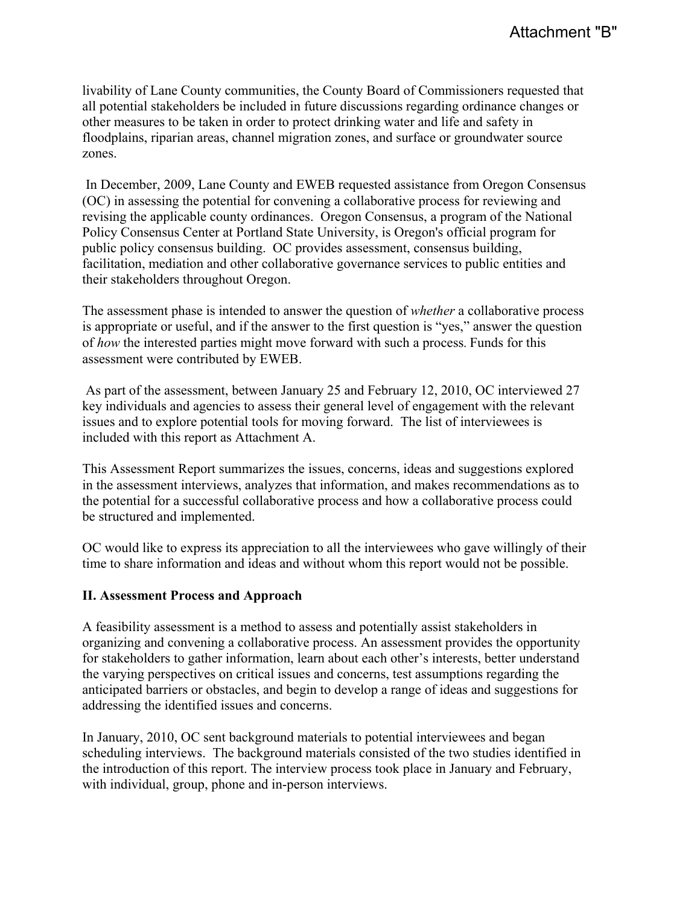livability of Lane County communities, the County Board of Commissioners requested that all potential stakeholders be included in future discussions regarding ordinance changes or other measures to be taken in order to protect drinking water and life and safety in floodplains, riparian areas, channel migration zones, and surface or groundwater source zones.

 In December, 2009, Lane County and EWEB requested assistance from Oregon Consensus (OC) in assessing the potential for convening a collaborative process for reviewing and revising the applicable county ordinances. Oregon Consensus, a program of the National Policy Consensus Center at Portland State University, is Oregon's official program for public policy consensus building. OC provides assessment, consensus building, facilitation, mediation and other collaborative governance services to public entities and their stakeholders throughout Oregon.

The assessment phase is intended to answer the question of *whether* a collaborative process is appropriate or useful, and if the answer to the first question is "yes," answer the question of *how* the interested parties might move forward with such a process. Funds for this assessment were contributed by EWEB.

 As part of the assessment, between January 25 and February 12, 2010, OC interviewed 27 key individuals and agencies to assess their general level of engagement with the relevant issues and to explore potential tools for moving forward. The list of interviewees is included with this report as Attachment A.

This Assessment Report summarizes the issues, concerns, ideas and suggestions explored in the assessment interviews, analyzes that information, and makes recommendations as to the potential for a successful collaborative process and how a collaborative process could be structured and implemented.

OC would like to express its appreciation to all the interviewees who gave willingly of their time to share information and ideas and without whom this report would not be possible.

#### **II. Assessment Process and Approach**

A feasibility assessment is a method to assess and potentially assist stakeholders in organizing and convening a collaborative process. An assessment provides the opportunity for stakeholders to gather information, learn about each other's interests, better understand the varying perspectives on critical issues and concerns, test assumptions regarding the anticipated barriers or obstacles, and begin to develop a range of ideas and suggestions for addressing the identified issues and concerns.

In January, 2010, OC sent background materials to potential interviewees and began scheduling interviews. The background materials consisted of the two studies identified in the introduction of this report. The interview process took place in January and February, with individual, group, phone and in-person interviews.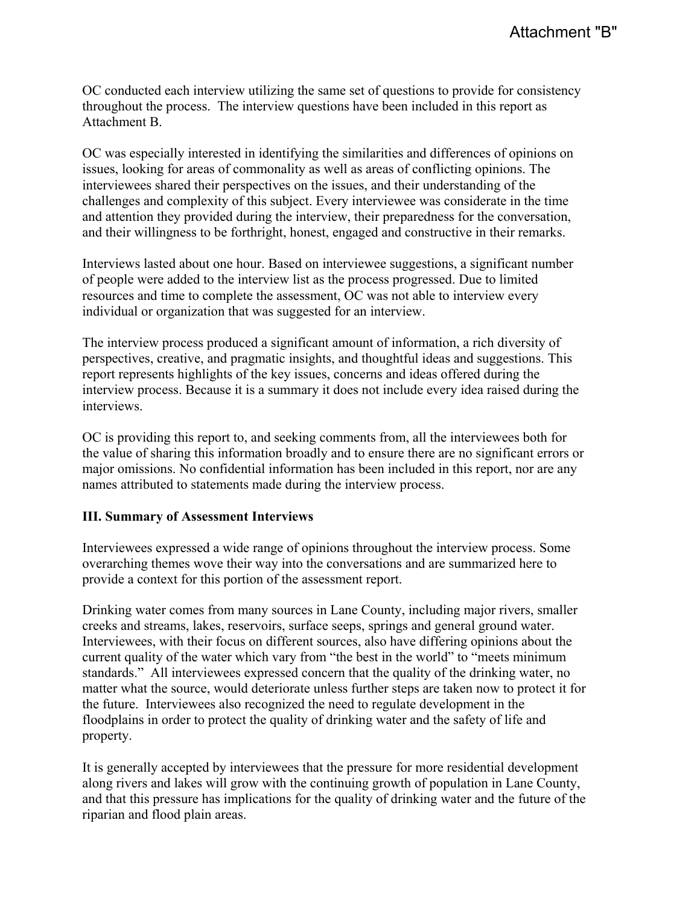OC conducted each interview utilizing the same set of questions to provide for consistency throughout the process. The interview questions have been included in this report as Attachment B.

OC was especially interested in identifying the similarities and differences of opinions on issues, looking for areas of commonality as well as areas of conflicting opinions. The interviewees shared their perspectives on the issues, and their understanding of the challenges and complexity of this subject. Every interviewee was considerate in the time and attention they provided during the interview, their preparedness for the conversation, and their willingness to be forthright, honest, engaged and constructive in their remarks.

Interviews lasted about one hour. Based on interviewee suggestions, a significant number of people were added to the interview list as the process progressed. Due to limited resources and time to complete the assessment, OC was not able to interview every individual or organization that was suggested for an interview.

The interview process produced a significant amount of information, a rich diversity of perspectives, creative, and pragmatic insights, and thoughtful ideas and suggestions. This report represents highlights of the key issues, concerns and ideas offered during the interview process. Because it is a summary it does not include every idea raised during the interviews.

OC is providing this report to, and seeking comments from, all the interviewees both for the value of sharing this information broadly and to ensure there are no significant errors or major omissions. No confidential information has been included in this report, nor are any names attributed to statements made during the interview process.

#### **III. Summary of Assessment Interviews**

Interviewees expressed a wide range of opinions throughout the interview process. Some overarching themes wove their way into the conversations and are summarized here to provide a context for this portion of the assessment report.

Drinking water comes from many sources in Lane County, including major rivers, smaller creeks and streams, lakes, reservoirs, surface seeps, springs and general ground water. Interviewees, with their focus on different sources, also have differing opinions about the current quality of the water which vary from "the best in the world" to "meets minimum standards." All interviewees expressed concern that the quality of the drinking water, no matter what the source, would deteriorate unless further steps are taken now to protect it for the future. Interviewees also recognized the need to regulate development in the floodplains in order to protect the quality of drinking water and the safety of life and property.

It is generally accepted by interviewees that the pressure for more residential development along rivers and lakes will grow with the continuing growth of population in Lane County, and that this pressure has implications for the quality of drinking water and the future of the riparian and flood plain areas.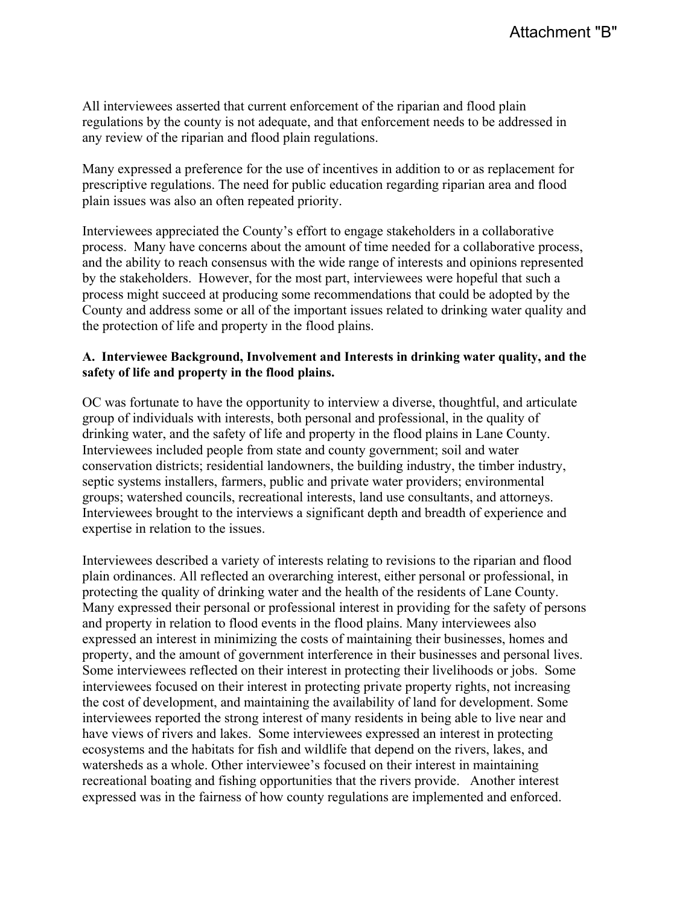All interviewees asserted that current enforcement of the riparian and flood plain regulations by the county is not adequate, and that enforcement needs to be addressed in any review of the riparian and flood plain regulations.

Many expressed a preference for the use of incentives in addition to or as replacement for prescriptive regulations. The need for public education regarding riparian area and flood plain issues was also an often repeated priority.

Interviewees appreciated the County's effort to engage stakeholders in a collaborative process. Many have concerns about the amount of time needed for a collaborative process, and the ability to reach consensus with the wide range of interests and opinions represented by the stakeholders. However, for the most part, interviewees were hopeful that such a process might succeed at producing some recommendations that could be adopted by the County and address some or all of the important issues related to drinking water quality and the protection of life and property in the flood plains.

#### **A. Interviewee Background, Involvement and Interests in drinking water quality, and the safety of life and property in the flood plains.**

OC was fortunate to have the opportunity to interview a diverse, thoughtful, and articulate group of individuals with interests, both personal and professional, in the quality of drinking water, and the safety of life and property in the flood plains in Lane County. Interviewees included people from state and county government; soil and water conservation districts; residential landowners, the building industry, the timber industry, septic systems installers, farmers, public and private water providers; environmental groups; watershed councils, recreational interests, land use consultants, and attorneys. Interviewees brought to the interviews a significant depth and breadth of experience and expertise in relation to the issues.

Interviewees described a variety of interests relating to revisions to the riparian and flood plain ordinances. All reflected an overarching interest, either personal or professional, in protecting the quality of drinking water and the health of the residents of Lane County. Many expressed their personal or professional interest in providing for the safety of persons and property in relation to flood events in the flood plains. Many interviewees also expressed an interest in minimizing the costs of maintaining their businesses, homes and property, and the amount of government interference in their businesses and personal lives. Some interviewees reflected on their interest in protecting their livelihoods or jobs. Some interviewees focused on their interest in protecting private property rights, not increasing the cost of development, and maintaining the availability of land for development. Some interviewees reported the strong interest of many residents in being able to live near and have views of rivers and lakes. Some interviewees expressed an interest in protecting ecosystems and the habitats for fish and wildlife that depend on the rivers, lakes, and watersheds as a whole. Other interviewee's focused on their interest in maintaining recreational boating and fishing opportunities that the rivers provide. Another interest expressed was in the fairness of how county regulations are implemented and enforced.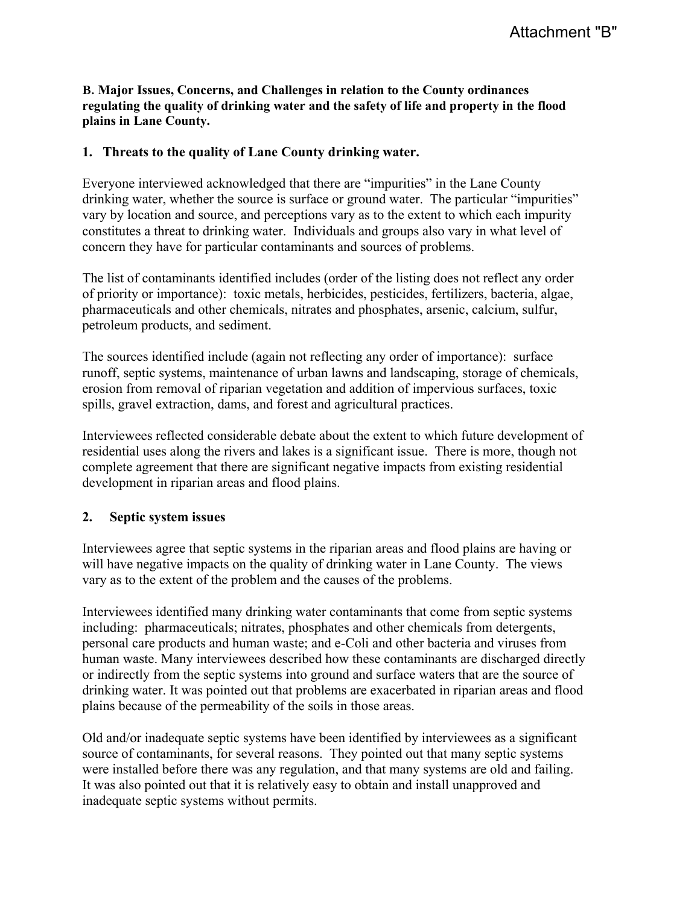#### **B. Major Issues, Concerns, and Challenges in relation to the County ordinances regulating the quality of drinking water and the safety of life and property in the flood plains in Lane County.**

#### **1. Threats to the quality of Lane County drinking water.**

Everyone interviewed acknowledged that there are "impurities" in the Lane County drinking water, whether the source is surface or ground water. The particular "impurities" vary by location and source, and perceptions vary as to the extent to which each impurity constitutes a threat to drinking water. Individuals and groups also vary in what level of concern they have for particular contaminants and sources of problems.

The list of contaminants identified includes (order of the listing does not reflect any order of priority or importance): toxic metals, herbicides, pesticides, fertilizers, bacteria, algae, pharmaceuticals and other chemicals, nitrates and phosphates, arsenic, calcium, sulfur, petroleum products, and sediment.

The sources identified include (again not reflecting any order of importance): surface runoff, septic systems, maintenance of urban lawns and landscaping, storage of chemicals, erosion from removal of riparian vegetation and addition of impervious surfaces, toxic spills, gravel extraction, dams, and forest and agricultural practices.

Interviewees reflected considerable debate about the extent to which future development of residential uses along the rivers and lakes is a significant issue. There is more, though not complete agreement that there are significant negative impacts from existing residential development in riparian areas and flood plains.

#### **2. Septic system issues**

Interviewees agree that septic systems in the riparian areas and flood plains are having or will have negative impacts on the quality of drinking water in Lane County. The views vary as to the extent of the problem and the causes of the problems.

Interviewees identified many drinking water contaminants that come from septic systems including: pharmaceuticals; nitrates, phosphates and other chemicals from detergents, personal care products and human waste; and e-Coli and other bacteria and viruses from human waste. Many interviewees described how these contaminants are discharged directly or indirectly from the septic systems into ground and surface waters that are the source of drinking water. It was pointed out that problems are exacerbated in riparian areas and flood plains because of the permeability of the soils in those areas.

Old and/or inadequate septic systems have been identified by interviewees as a significant source of contaminants, for several reasons. They pointed out that many septic systems were installed before there was any regulation, and that many systems are old and failing. It was also pointed out that it is relatively easy to obtain and install unapproved and inadequate septic systems without permits.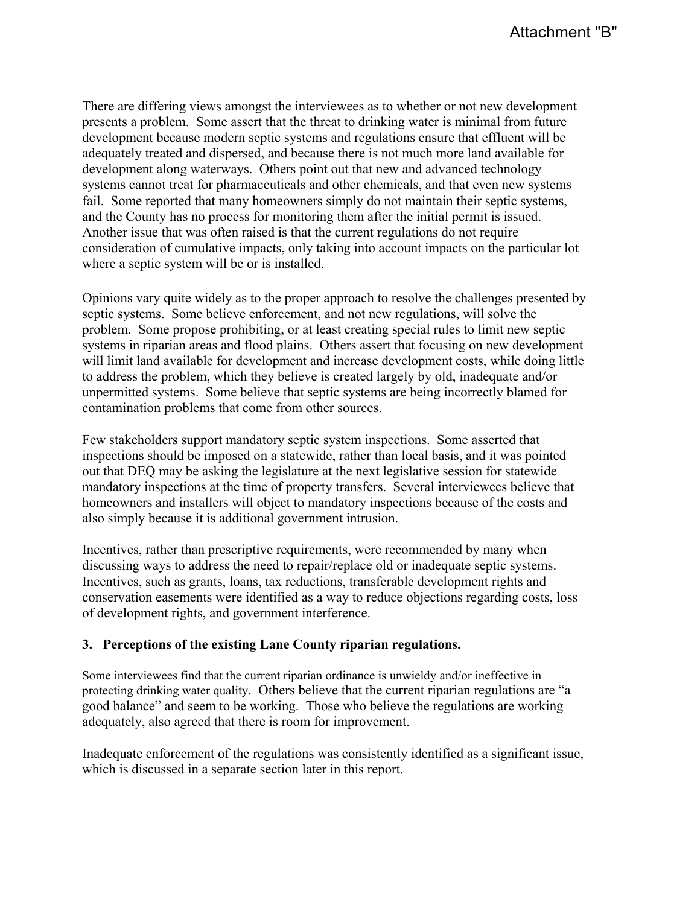There are differing views amongst the interviewees as to whether or not new development presents a problem. Some assert that the threat to drinking water is minimal from future development because modern septic systems and regulations ensure that effluent will be adequately treated and dispersed, and because there is not much more land available for development along waterways. Others point out that new and advanced technology systems cannot treat for pharmaceuticals and other chemicals, and that even new systems fail. Some reported that many homeowners simply do not maintain their septic systems, and the County has no process for monitoring them after the initial permit is issued. Another issue that was often raised is that the current regulations do not require consideration of cumulative impacts, only taking into account impacts on the particular lot where a septic system will be or is installed.

Opinions vary quite widely as to the proper approach to resolve the challenges presented by septic systems. Some believe enforcement, and not new regulations, will solve the problem. Some propose prohibiting, or at least creating special rules to limit new septic systems in riparian areas and flood plains. Others assert that focusing on new development will limit land available for development and increase development costs, while doing little to address the problem, which they believe is created largely by old, inadequate and/or unpermitted systems. Some believe that septic systems are being incorrectly blamed for contamination problems that come from other sources.

Few stakeholders support mandatory septic system inspections. Some asserted that inspections should be imposed on a statewide, rather than local basis, and it was pointed out that DEQ may be asking the legislature at the next legislative session for statewide mandatory inspections at the time of property transfers. Several interviewees believe that homeowners and installers will object to mandatory inspections because of the costs and also simply because it is additional government intrusion.

Incentives, rather than prescriptive requirements, were recommended by many when discussing ways to address the need to repair/replace old or inadequate septic systems. Incentives, such as grants, loans, tax reductions, transferable development rights and conservation easements were identified as a way to reduce objections regarding costs, loss of development rights, and government interference.

#### **3. Perceptions of the existing Lane County riparian regulations.**

Some interviewees find that the current riparian ordinance is unwieldy and/or ineffective in protecting drinking water quality. Others believe that the current riparian regulations are "a good balance" and seem to be working. Those who believe the regulations are working adequately, also agreed that there is room for improvement.

Inadequate enforcement of the regulations was consistently identified as a significant issue, which is discussed in a separate section later in this report.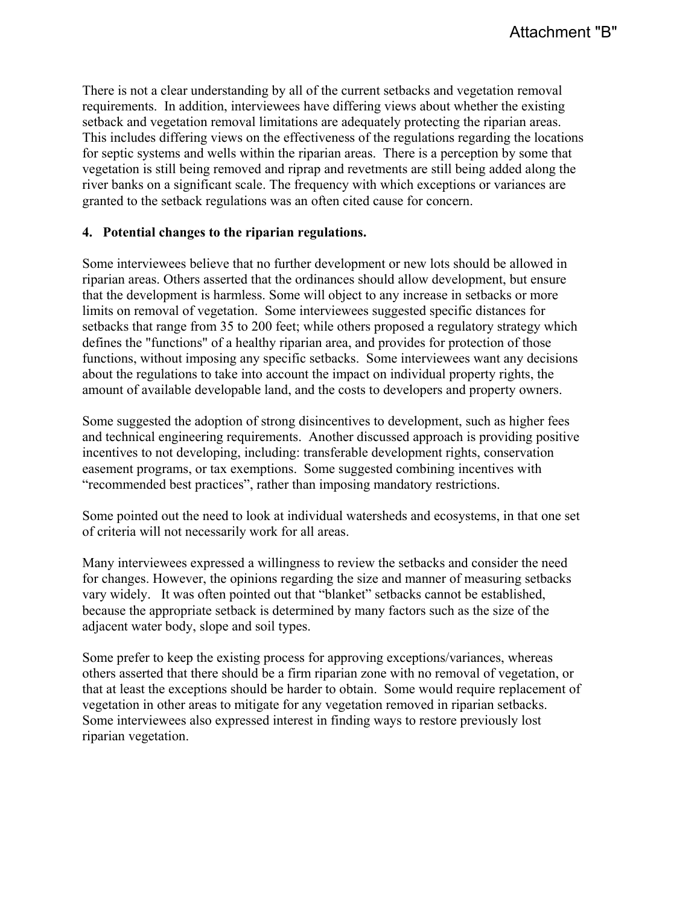There is not a clear understanding by all of the current setbacks and vegetation removal requirements. In addition, interviewees have differing views about whether the existing setback and vegetation removal limitations are adequately protecting the riparian areas. This includes differing views on the effectiveness of the regulations regarding the locations for septic systems and wells within the riparian areas. There is a perception by some that vegetation is still being removed and riprap and revetments are still being added along the river banks on a significant scale. The frequency with which exceptions or variances are granted to the setback regulations was an often cited cause for concern.

#### **4. Potential changes to the riparian regulations.**

Some interviewees believe that no further development or new lots should be allowed in riparian areas. Others asserted that the ordinances should allow development, but ensure that the development is harmless. Some will object to any increase in setbacks or more limits on removal of vegetation. Some interviewees suggested specific distances for setbacks that range from 35 to 200 feet; while others proposed a regulatory strategy which defines the "functions" of a healthy riparian area, and provides for protection of those functions, without imposing any specific setbacks. Some interviewees want any decisions about the regulations to take into account the impact on individual property rights, the amount of available developable land, and the costs to developers and property owners.

Some suggested the adoption of strong disincentives to development, such as higher fees and technical engineering requirements. Another discussed approach is providing positive incentives to not developing, including: transferable development rights, conservation easement programs, or tax exemptions. Some suggested combining incentives with "recommended best practices", rather than imposing mandatory restrictions.

Some pointed out the need to look at individual watersheds and ecosystems, in that one set of criteria will not necessarily work for all areas.

Many interviewees expressed a willingness to review the setbacks and consider the need for changes. However, the opinions regarding the size and manner of measuring setbacks vary widely. It was often pointed out that "blanket" setbacks cannot be established, because the appropriate setback is determined by many factors such as the size of the adjacent water body, slope and soil types.

Some prefer to keep the existing process for approving exceptions/variances, whereas others asserted that there should be a firm riparian zone with no removal of vegetation, or that at least the exceptions should be harder to obtain. Some would require replacement of vegetation in other areas to mitigate for any vegetation removed in riparian setbacks. Some interviewees also expressed interest in finding ways to restore previously lost riparian vegetation.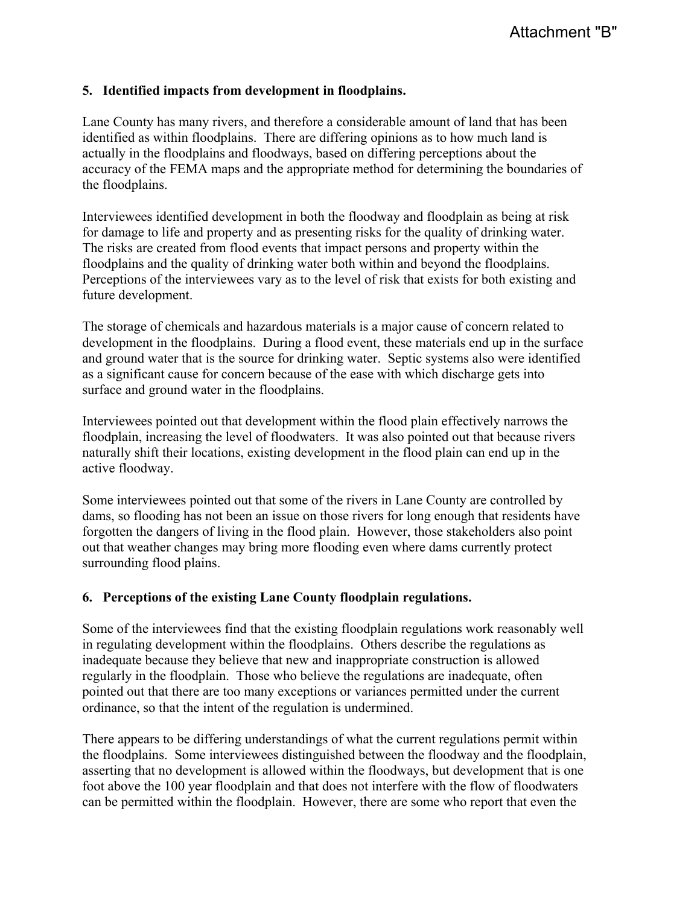#### **5. Identified impacts from development in floodplains.**

Lane County has many rivers, and therefore a considerable amount of land that has been identified as within floodplains. There are differing opinions as to how much land is actually in the floodplains and floodways, based on differing perceptions about the accuracy of the FEMA maps and the appropriate method for determining the boundaries of the floodplains.

Interviewees identified development in both the floodway and floodplain as being at risk for damage to life and property and as presenting risks for the quality of drinking water. The risks are created from flood events that impact persons and property within the floodplains and the quality of drinking water both within and beyond the floodplains. Perceptions of the interviewees vary as to the level of risk that exists for both existing and future development.

The storage of chemicals and hazardous materials is a major cause of concern related to development in the floodplains. During a flood event, these materials end up in the surface and ground water that is the source for drinking water. Septic systems also were identified as a significant cause for concern because of the ease with which discharge gets into surface and ground water in the floodplains.

Interviewees pointed out that development within the flood plain effectively narrows the floodplain, increasing the level of floodwaters. It was also pointed out that because rivers naturally shift their locations, existing development in the flood plain can end up in the active floodway.

Some interviewees pointed out that some of the rivers in Lane County are controlled by dams, so flooding has not been an issue on those rivers for long enough that residents have forgotten the dangers of living in the flood plain. However, those stakeholders also point out that weather changes may bring more flooding even where dams currently protect surrounding flood plains.

#### **6. Perceptions of the existing Lane County floodplain regulations.**

Some of the interviewees find that the existing floodplain regulations work reasonably well in regulating development within the floodplains. Others describe the regulations as inadequate because they believe that new and inappropriate construction is allowed regularly in the floodplain. Those who believe the regulations are inadequate, often pointed out that there are too many exceptions or variances permitted under the current ordinance, so that the intent of the regulation is undermined.

There appears to be differing understandings of what the current regulations permit within the floodplains. Some interviewees distinguished between the floodway and the floodplain, asserting that no development is allowed within the floodways, but development that is one foot above the 100 year floodplain and that does not interfere with the flow of floodwaters can be permitted within the floodplain. However, there are some who report that even the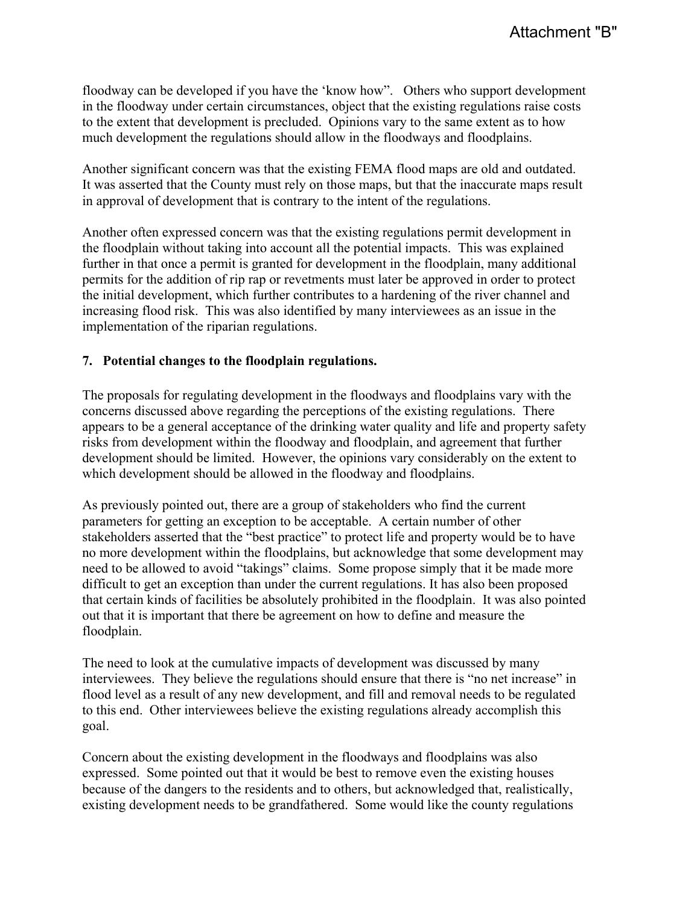floodway can be developed if you have the 'know how". Others who support development in the floodway under certain circumstances, object that the existing regulations raise costs to the extent that development is precluded. Opinions vary to the same extent as to how much development the regulations should allow in the floodways and floodplains.

Another significant concern was that the existing FEMA flood maps are old and outdated. It was asserted that the County must rely on those maps, but that the inaccurate maps result in approval of development that is contrary to the intent of the regulations.

Another often expressed concern was that the existing regulations permit development in the floodplain without taking into account all the potential impacts. This was explained further in that once a permit is granted for development in the floodplain, many additional permits for the addition of rip rap or revetments must later be approved in order to protect the initial development, which further contributes to a hardening of the river channel and increasing flood risk. This was also identified by many interviewees as an issue in the implementation of the riparian regulations.

#### **7. Potential changes to the floodplain regulations.**

The proposals for regulating development in the floodways and floodplains vary with the concerns discussed above regarding the perceptions of the existing regulations. There appears to be a general acceptance of the drinking water quality and life and property safety risks from development within the floodway and floodplain, and agreement that further development should be limited. However, the opinions vary considerably on the extent to which development should be allowed in the floodway and floodplains.

As previously pointed out, there are a group of stakeholders who find the current parameters for getting an exception to be acceptable. A certain number of other stakeholders asserted that the "best practice" to protect life and property would be to have no more development within the floodplains, but acknowledge that some development may need to be allowed to avoid "takings" claims. Some propose simply that it be made more difficult to get an exception than under the current regulations. It has also been proposed that certain kinds of facilities be absolutely prohibited in the floodplain. It was also pointed out that it is important that there be agreement on how to define and measure the floodplain.

The need to look at the cumulative impacts of development was discussed by many interviewees. They believe the regulations should ensure that there is "no net increase" in flood level as a result of any new development, and fill and removal needs to be regulated to this end. Other interviewees believe the existing regulations already accomplish this goal.

Concern about the existing development in the floodways and floodplains was also expressed. Some pointed out that it would be best to remove even the existing houses because of the dangers to the residents and to others, but acknowledged that, realistically, existing development needs to be grandfathered. Some would like the county regulations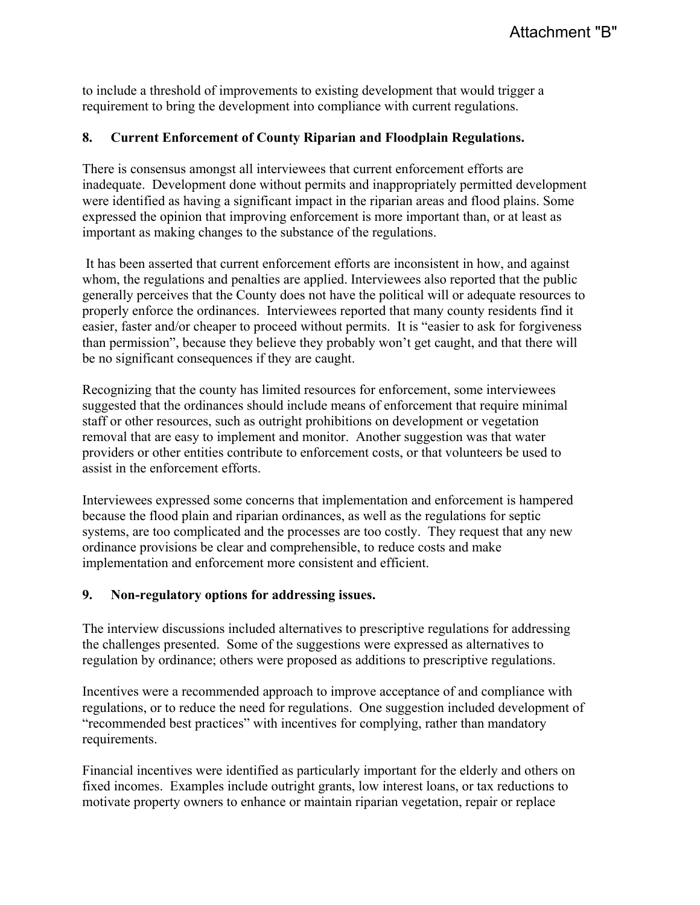to include a threshold of improvements to existing development that would trigger a requirement to bring the development into compliance with current regulations.

### **8. Current Enforcement of County Riparian and Floodplain Regulations.**

There is consensus amongst all interviewees that current enforcement efforts are inadequate. Development done without permits and inappropriately permitted development were identified as having a significant impact in the riparian areas and flood plains. Some expressed the opinion that improving enforcement is more important than, or at least as important as making changes to the substance of the regulations.

 It has been asserted that current enforcement efforts are inconsistent in how, and against whom, the regulations and penalties are applied. Interviewees also reported that the public generally perceives that the County does not have the political will or adequate resources to properly enforce the ordinances. Interviewees reported that many county residents find it easier, faster and/or cheaper to proceed without permits. It is "easier to ask for forgiveness than permission", because they believe they probably won't get caught, and that there will be no significant consequences if they are caught.

Recognizing that the county has limited resources for enforcement, some interviewees suggested that the ordinances should include means of enforcement that require minimal staff or other resources, such as outright prohibitions on development or vegetation removal that are easy to implement and monitor. Another suggestion was that water providers or other entities contribute to enforcement costs, or that volunteers be used to assist in the enforcement efforts.

Interviewees expressed some concerns that implementation and enforcement is hampered because the flood plain and riparian ordinances, as well as the regulations for septic systems, are too complicated and the processes are too costly. They request that any new ordinance provisions be clear and comprehensible, to reduce costs and make implementation and enforcement more consistent and efficient.

#### **9. Non-regulatory options for addressing issues.**

The interview discussions included alternatives to prescriptive regulations for addressing the challenges presented. Some of the suggestions were expressed as alternatives to regulation by ordinance; others were proposed as additions to prescriptive regulations.

Incentives were a recommended approach to improve acceptance of and compliance with regulations, or to reduce the need for regulations. One suggestion included development of "recommended best practices" with incentives for complying, rather than mandatory requirements.

Financial incentives were identified as particularly important for the elderly and others on fixed incomes. Examples include outright grants, low interest loans, or tax reductions to motivate property owners to enhance or maintain riparian vegetation, repair or replace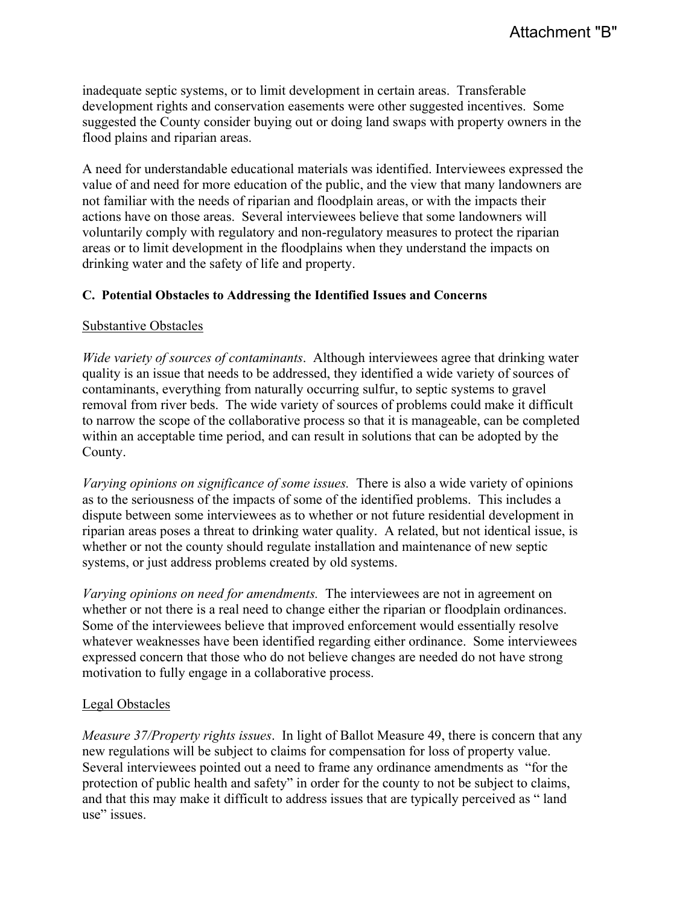inadequate septic systems, or to limit development in certain areas. Transferable development rights and conservation easements were other suggested incentives. Some suggested the County consider buying out or doing land swaps with property owners in the flood plains and riparian areas.

A need for understandable educational materials was identified. Interviewees expressed the value of and need for more education of the public, and the view that many landowners are not familiar with the needs of riparian and floodplain areas, or with the impacts their actions have on those areas. Several interviewees believe that some landowners will voluntarily comply with regulatory and non-regulatory measures to protect the riparian areas or to limit development in the floodplains when they understand the impacts on drinking water and the safety of life and property.

#### **C. Potential Obstacles to Addressing the Identified Issues and Concerns**

#### Substantive Obstacles

*Wide variety of sources of contaminants*. Although interviewees agree that drinking water quality is an issue that needs to be addressed, they identified a wide variety of sources of contaminants, everything from naturally occurring sulfur, to septic systems to gravel removal from river beds. The wide variety of sources of problems could make it difficult to narrow the scope of the collaborative process so that it is manageable, can be completed within an acceptable time period, and can result in solutions that can be adopted by the County.

*Varying opinions on significance of some issues.* There is also a wide variety of opinions as to the seriousness of the impacts of some of the identified problems. This includes a dispute between some interviewees as to whether or not future residential development in riparian areas poses a threat to drinking water quality. A related, but not identical issue, is whether or not the county should regulate installation and maintenance of new septic systems, or just address problems created by old systems.

*Varying opinions on need for amendments.* The interviewees are not in agreement on whether or not there is a real need to change either the riparian or floodplain ordinances. Some of the interviewees believe that improved enforcement would essentially resolve whatever weaknesses have been identified regarding either ordinance. Some interviewees expressed concern that those who do not believe changes are needed do not have strong motivation to fully engage in a collaborative process.

# Legal Obstacles

*Measure 37/Property rights issues*. In light of Ballot Measure 49, there is concern that any new regulations will be subject to claims for compensation for loss of property value. Several interviewees pointed out a need to frame any ordinance amendments as "for the protection of public health and safety" in order for the county to not be subject to claims, and that this may make it difficult to address issues that are typically perceived as " land use" issues.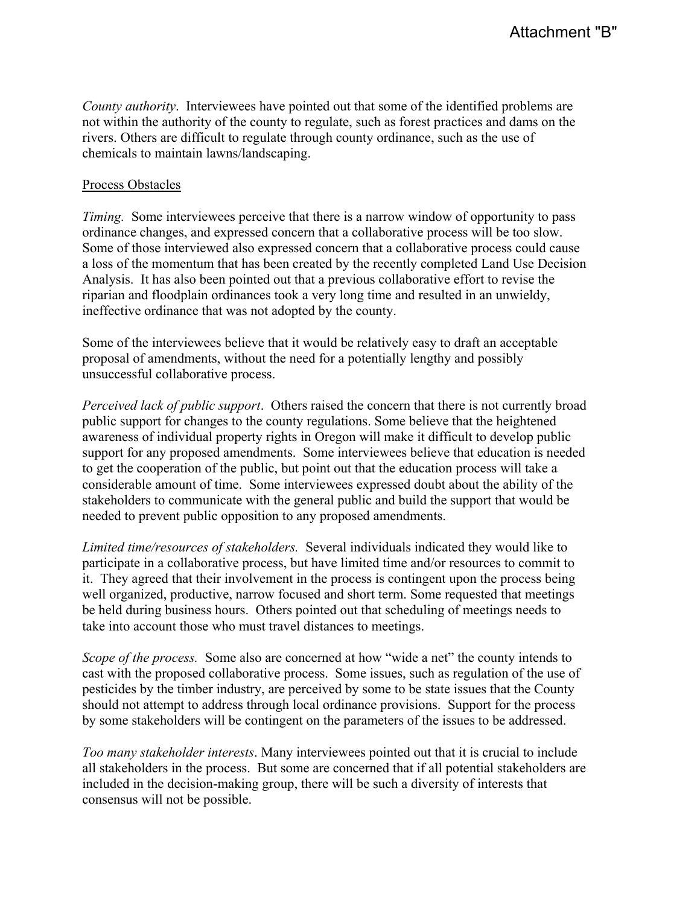*County authority*. Interviewees have pointed out that some of the identified problems are not within the authority of the county to regulate, such as forest practices and dams on the rivers. Others are difficult to regulate through county ordinance, such as the use of chemicals to maintain lawns/landscaping.

#### Process Obstacles

*Timing.* Some interviewees perceive that there is a narrow window of opportunity to pass ordinance changes, and expressed concern that a collaborative process will be too slow. Some of those interviewed also expressed concern that a collaborative process could cause a loss of the momentum that has been created by the recently completed Land Use Decision Analysis. It has also been pointed out that a previous collaborative effort to revise the riparian and floodplain ordinances took a very long time and resulted in an unwieldy, ineffective ordinance that was not adopted by the county.

Some of the interviewees believe that it would be relatively easy to draft an acceptable proposal of amendments, without the need for a potentially lengthy and possibly unsuccessful collaborative process.

*Perceived lack of public support*. Others raised the concern that there is not currently broad public support for changes to the county regulations. Some believe that the heightened awareness of individual property rights in Oregon will make it difficult to develop public support for any proposed amendments. Some interviewees believe that education is needed to get the cooperation of the public, but point out that the education process will take a considerable amount of time. Some interviewees expressed doubt about the ability of the stakeholders to communicate with the general public and build the support that would be needed to prevent public opposition to any proposed amendments.

*Limited time/resources of stakeholders.* Several individuals indicated they would like to participate in a collaborative process, but have limited time and/or resources to commit to it. They agreed that their involvement in the process is contingent upon the process being well organized, productive, narrow focused and short term. Some requested that meetings be held during business hours. Others pointed out that scheduling of meetings needs to take into account those who must travel distances to meetings.

*Scope of the process.* Some also are concerned at how "wide a net" the county intends to cast with the proposed collaborative process. Some issues, such as regulation of the use of pesticides by the timber industry, are perceived by some to be state issues that the County should not attempt to address through local ordinance provisions. Support for the process by some stakeholders will be contingent on the parameters of the issues to be addressed.

*Too many stakeholder interests*. Many interviewees pointed out that it is crucial to include all stakeholders in the process. But some are concerned that if all potential stakeholders are included in the decision-making group, there will be such a diversity of interests that consensus will not be possible.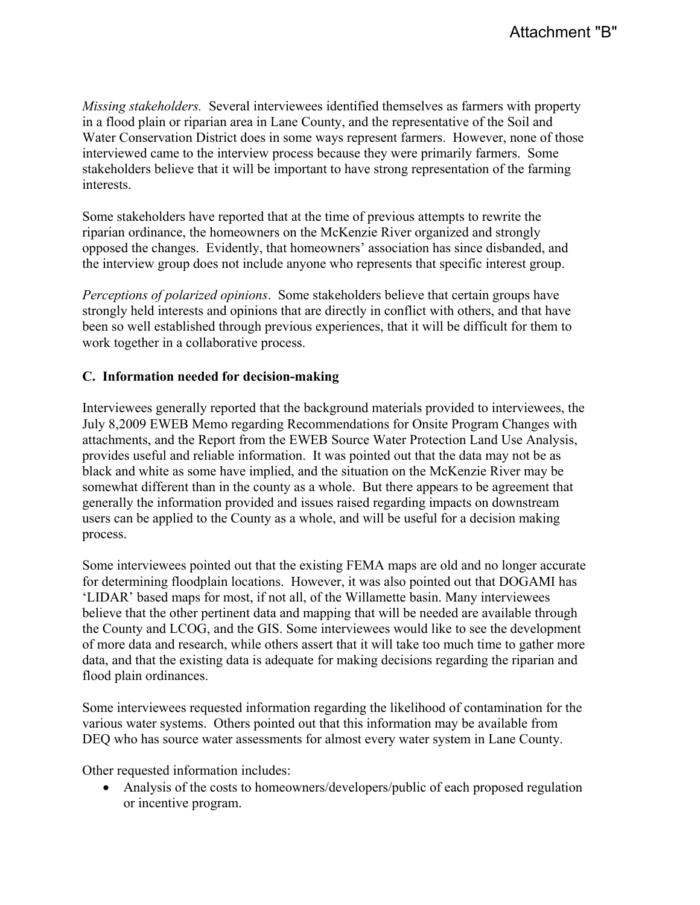*Missing stakeholders.* Several interviewees identified themselves as farmers with property in a flood plain or riparian area in Lane County, and the representative of the Soil and Water Conservation District does in some ways represent farmers. However, none of those interviewed came to the interview process because they were primarily farmers. Some stakeholders believe that it will be important to have strong representation of the farming interests.

Some stakeholders have reported that at the time of previous attempts to rewrite the riparian ordinance, the homeowners on the McKenzie River organized and strongly opposed the changes. Evidently, that homeowners' association has since disbanded, and the interview group does not include anyone who represents that specific interest group.

*Perceptions of polarized opinions*. Some stakeholders believe that certain groups have strongly held interests and opinions that are directly in conflict with others, and that have been so well established through previous experiences, that it will be difficult for them to work together in a collaborative process.

# **C. Information needed for decision-making**

Interviewees generally reported that the background materials provided to interviewees, the July 8,2009 EWEB Memo regarding Recommendations for Onsite Program Changes with attachments, and the Report from the EWEB Source Water Protection Land Use Analysis, provides useful and reliable information. It was pointed out that the data may not be as black and white as some have implied, and the situation on the McKenzie River may be somewhat different than in the county as a whole. But there appears to be agreement that generally the information provided and issues raised regarding impacts on downstream users can be applied to the County as a whole, and will be useful for a decision making process.

Some interviewees pointed out that the existing FEMA maps are old and no longer accurate for determining floodplain locations. However, it was also pointed out that DOGAMI has 'LIDAR' based maps for most, if not all, of the Willamette basin. Many interviewees believe that the other pertinent data and mapping that will be needed are available through the County and LCOG, and the GIS. Some interviewees would like to see the development of more data and research, while others assert that it will take too much time to gather more data, and that the existing data is adequate for making decisions regarding the riparian and flood plain ordinances.

Some interviewees requested information regarding the likelihood of contamination for the various water systems. Others pointed out that this information may be available from DEQ who has source water assessments for almost every water system in Lane County.

Other requested information includes:

• Analysis of the costs to homeowners/developers/public of each proposed regulation or incentive program.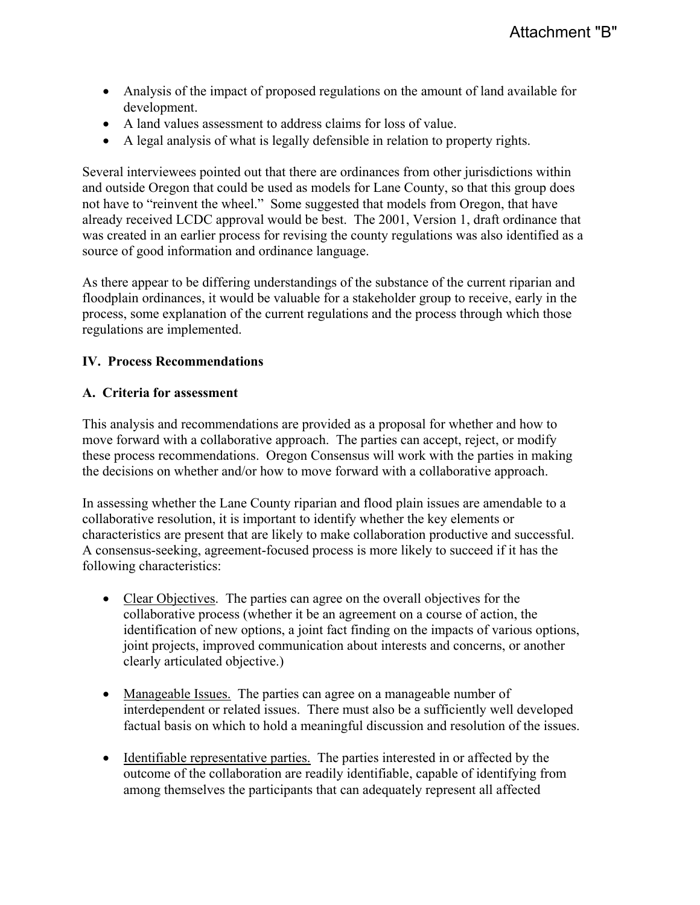- Analysis of the impact of proposed regulations on the amount of land available for development.
- A land values assessment to address claims for loss of value.
- $\bullet$  A legal analysis of what is legally defensible in relation to property rights.

Several interviewees pointed out that there are ordinances from other jurisdictions within and outside Oregon that could be used as models for Lane County, so that this group does not have to "reinvent the wheel." Some suggested that models from Oregon, that have already received LCDC approval would be best. The 2001, Version 1, draft ordinance that was created in an earlier process for revising the county regulations was also identified as a source of good information and ordinance language.

As there appear to be differing understandings of the substance of the current riparian and floodplain ordinances, it would be valuable for a stakeholder group to receive, early in the process, some explanation of the current regulations and the process through which those regulations are implemented.

#### **IV. Process Recommendations**

#### **A. Criteria for assessment**

This analysis and recommendations are provided as a proposal for whether and how to move forward with a collaborative approach. The parties can accept, reject, or modify these process recommendations. Oregon Consensus will work with the parties in making the decisions on whether and/or how to move forward with a collaborative approach.

In assessing whether the Lane County riparian and flood plain issues are amendable to a collaborative resolution, it is important to identify whether the key elements or characteristics are present that are likely to make collaboration productive and successful. A consensus-seeking, agreement-focused process is more likely to succeed if it has the following characteristics:

- Clear Objectives. The parties can agree on the overall objectives for the collaborative process (whether it be an agreement on a course of action, the identification of new options, a joint fact finding on the impacts of various options, joint projects, improved communication about interests and concerns, or another clearly articulated objective.)
- Manageable Issues. The parties can agree on a manageable number of interdependent or related issues. There must also be a sufficiently well developed factual basis on which to hold a meaningful discussion and resolution of the issues.
- Identifiable representative parties. The parties interested in or affected by the outcome of the collaboration are readily identifiable, capable of identifying from among themselves the participants that can adequately represent all affected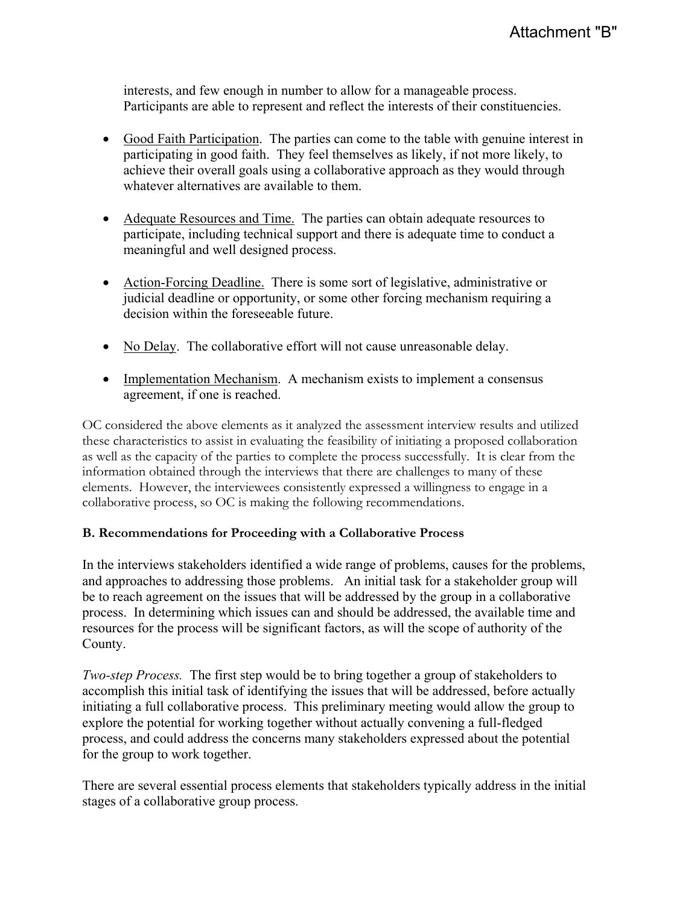interests, and few enough in number to allow for a manageable process. Participants are able to represent and reflect the interests of their constituencies.

- Good Faith Participation. The parties can come to the table with genuine interest in participating in good faith. They feel themselves as likely, if not more likely, to achieve their overall goals using a collaborative approach as they would through whatever alternatives are available to them.
- Adequate Resources and Time. The parties can obtain adequate resources to participate, including technical support and there is adequate time to conduct a meaningful and well designed process.
- Action-Forcing Deadline. There is some sort of legislative, administrative or judicial deadline or opportunity, or some other forcing mechanism requiring a decision within the foreseeable future.
- No Delay. The collaborative effort will not cause unreasonable delay.
- Implementation Mechanism. A mechanism exists to implement a consensus agreement, if one is reached.

OC considered the above elements as it analyzed the assessment interview results and utilized these characteristics to assist in evaluating the feasibility of initiating a proposed collaboration as well as the capacity of the parties to complete the process successfully. It is clear from the information obtained through the interviews that there are challenges to many of these elements. However, the interviewees consistently expressed a willingness to engage in a collaborative process, so OC is making the following recommendations.

#### **B. Recommendations for Proceeding with a Collaborative Process**

In the interviews stakeholders identified a wide range of problems, causes for the problems, and approaches to addressing those problems. An initial task for a stakeholder group will be to reach agreement on the issues that will be addressed by the group in a collaborative process. In determining which issues can and should be addressed, the available time and resources for the process will be significant factors, as will the scope of authority of the County.

*Two-step Process.* The first step would be to bring together a group of stakeholders to accomplish this initial task of identifying the issues that will be addressed, before actually initiating a full collaborative process. This preliminary meeting would allow the group to explore the potential for working together without actually convening a full-fledged process, and could address the concerns many stakeholders expressed about the potential for the group to work together.

There are several essential process elements that stakeholders typically address in the initial stages of a collaborative group process.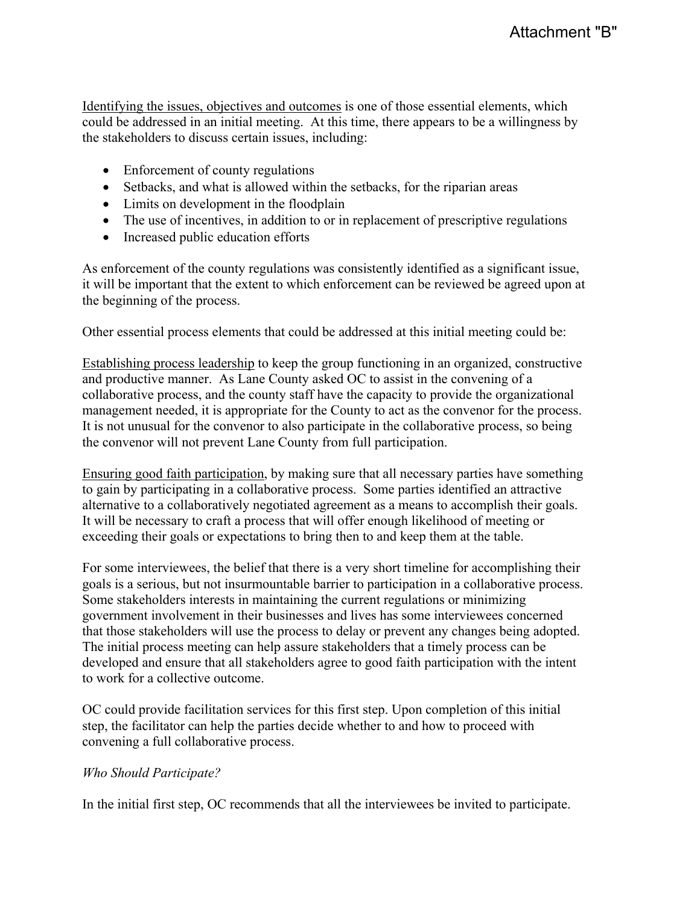Identifying the issues, objectives and outcomes is one of those essential elements, which could be addressed in an initial meeting. At this time, there appears to be a willingness by the stakeholders to discuss certain issues, including:

- $\bullet$  Enforcement of county regulations
- Setbacks, and what is allowed within the setbacks, for the riparian areas
- $\bullet$  Limits on development in the floodplain
- $\bullet$  The use of incentives, in addition to or in replacement of prescriptive regulations
- Increased public education efforts

As enforcement of the county regulations was consistently identified as a significant issue, it will be important that the extent to which enforcement can be reviewed be agreed upon at the beginning of the process.

Other essential process elements that could be addressed at this initial meeting could be:

Establishing process leadership to keep the group functioning in an organized, constructive and productive manner. As Lane County asked OC to assist in the convening of a collaborative process, and the county staff have the capacity to provide the organizational management needed, it is appropriate for the County to act as the convenor for the process. It is not unusual for the convenor to also participate in the collaborative process, so being the convenor will not prevent Lane County from full participation.

Ensuring good faith participation, by making sure that all necessary parties have something to gain by participating in a collaborative process. Some parties identified an attractive alternative to a collaboratively negotiated agreement as a means to accomplish their goals. It will be necessary to craft a process that will offer enough likelihood of meeting or exceeding their goals or expectations to bring then to and keep them at the table.

For some interviewees, the belief that there is a very short timeline for accomplishing their goals is a serious, but not insurmountable barrier to participation in a collaborative process. Some stakeholders interests in maintaining the current regulations or minimizing government involvement in their businesses and lives has some interviewees concerned that those stakeholders will use the process to delay or prevent any changes being adopted. The initial process meeting can help assure stakeholders that a timely process can be developed and ensure that all stakeholders agree to good faith participation with the intent to work for a collective outcome.

OC could provide facilitation services for this first step. Upon completion of this initial step, the facilitator can help the parties decide whether to and how to proceed with convening a full collaborative process.

#### *Who Should Participate?*

In the initial first step, OC recommends that all the interviewees be invited to participate.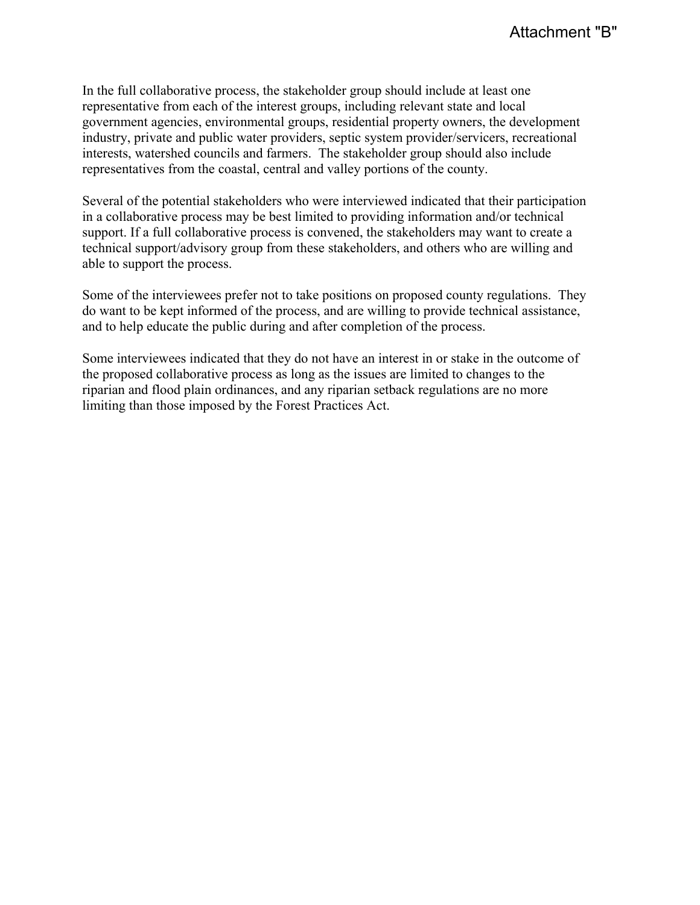In the full collaborative process, the stakeholder group should include at least one representative from each of the interest groups, including relevant state and local government agencies, environmental groups, residential property owners, the development industry, private and public water providers, septic system provider/servicers, recreational interests, watershed councils and farmers. The stakeholder group should also include representatives from the coastal, central and valley portions of the county.

Several of the potential stakeholders who were interviewed indicated that their participation in a collaborative process may be best limited to providing information and/or technical support. If a full collaborative process is convened, the stakeholders may want to create a technical support/advisory group from these stakeholders, and others who are willing and able to support the process.

Some of the interviewees prefer not to take positions on proposed county regulations. They do want to be kept informed of the process, and are willing to provide technical assistance, and to help educate the public during and after completion of the process.

Some interviewees indicated that they do not have an interest in or stake in the outcome of the proposed collaborative process as long as the issues are limited to changes to the riparian and flood plain ordinances, and any riparian setback regulations are no more limiting than those imposed by the Forest Practices Act.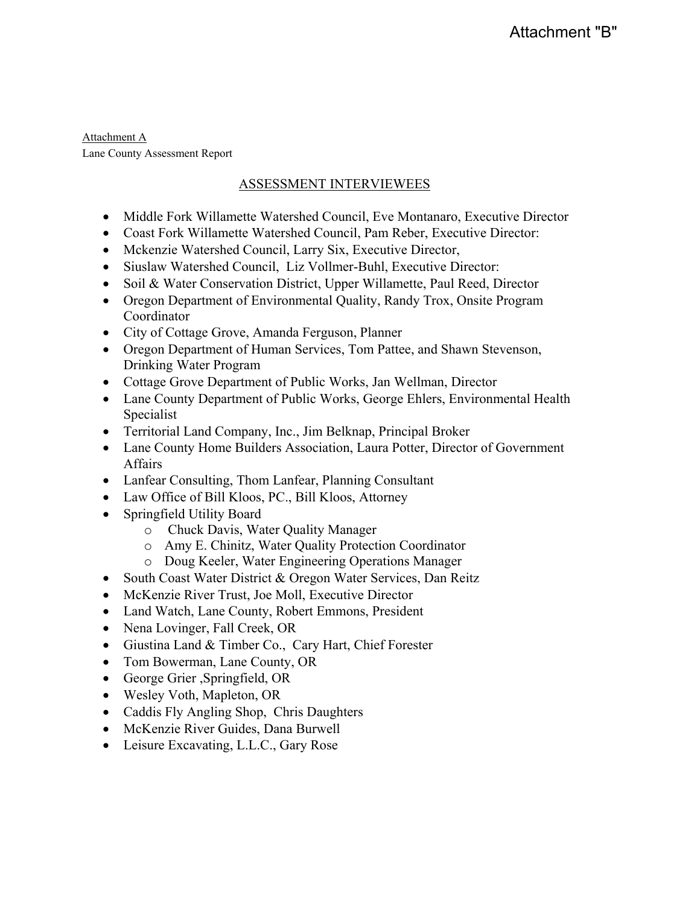Attachment A Lane County Assessment Report

# ASSESSMENT INTERVIEWEES

- Middle Fork Willamette Watershed Council, Eve Montanaro, Executive Director
- Coast Fork Willamette Watershed Council, Pam Reber, Executive Director:
- Mckenzie Watershed Council, Larry Six, Executive Director,
- Siuslaw Watershed Council, Liz Vollmer-Buhl, Executive Director:
- Soil & Water Conservation District, Upper Willamette, Paul Reed, Director
- Oregon Department of Environmental Quality, Randy Trox, Onsite Program Coordinator
- City of Cottage Grove, Amanda Ferguson, Planner
- Oregon Department of Human Services, Tom Pattee, and Shawn Stevenson, Drinking Water Program
- Cottage Grove Department of Public Works, Jan Wellman, Director
- Lane County Department of Public Works, George Ehlers, Environmental Health Specialist
- Territorial Land Company, Inc., Jim Belknap, Principal Broker
- Lane County Home Builders Association, Laura Potter, Director of Government **Affairs**
- Lanfear Consulting, Thom Lanfear, Planning Consultant
- Law Office of Bill Kloos, PC., Bill Kloos, Attorney
- Springfield Utility Board
	- o Chuck Davis, Water Quality Manager
	- o Amy E. Chinitz, Water Quality Protection Coordinator
	- o Doug Keeler, Water Engineering Operations Manager
- South Coast Water District & Oregon Water Services, Dan Reitz
- McKenzie River Trust, Joe Moll, Executive Director
- Land Watch, Lane County, Robert Emmons, President
- Nena Lovinger, Fall Creek, OR
- Giustina Land & Timber Co., Cary Hart, Chief Forester
- Tom Bowerman, Lane County, OR
- George Grier ,Springfield, OR
- Wesley Voth, Mapleton, OR
- Caddis Fly Angling Shop, Chris Daughters
- McKenzie River Guides, Dana Burwell
- Leisure Excavating, L.L.C., Gary Rose